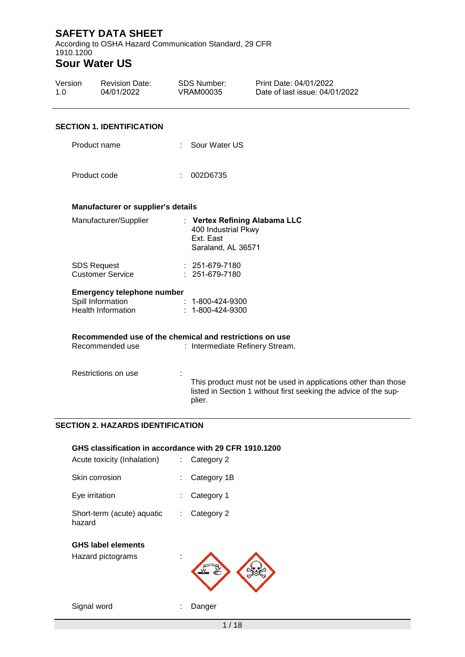According to OSHA Hazard Communication Standard, 29 CFR 1910.1200

# **Sour Water US**

| Version<br>1. $\Omega$ | <b>Revision Date:</b><br>04/01/2022                     | <b>SDS Number:</b><br><b>VRAM00035</b>                 | Print Date: 04/01/2022<br>Date of last issue: 04/01/2022                                                                           |
|------------------------|---------------------------------------------------------|--------------------------------------------------------|------------------------------------------------------------------------------------------------------------------------------------|
|                        | <b>SECTION 1. IDENTIFICATION</b>                        |                                                        |                                                                                                                                    |
|                        | Product name                                            | Sour Water US                                          |                                                                                                                                    |
|                        | Product code                                            | 002D6735                                               |                                                                                                                                    |
|                        | Manufacturer or supplier's details                      |                                                        |                                                                                                                                    |
|                        | Manufacturer/Supplier                                   | 400 Industrial Pkwy<br>Ext. East<br>Saraland, AL 36571 | : Vertex Refining Alabama LLC                                                                                                      |
|                        | <b>SDS Request</b><br><b>Customer Service</b>           | : 251-679-7180<br>$: 251-679-7180$                     |                                                                                                                                    |
|                        | <b>Emergency telephone number</b>                       |                                                        |                                                                                                                                    |
|                        | Spill Information                                       | 1-800-424-9300                                         |                                                                                                                                    |
|                        | <b>Health Information</b>                               | $: 1 - 800 - 424 - 9300$                               |                                                                                                                                    |
|                        | Recommended use of the chemical and restrictions on use |                                                        |                                                                                                                                    |
|                        | Recommended use                                         |                                                        | : Intermediate Refinery Stream.                                                                                                    |
|                        | Restrictions on use                                     | plier.                                                 | This product must not be used in applications other than those<br>listed in Section 1 without first seeking the advice of the sup- |
|                        | <b>SECTION 2. HAZARDS IDENTIFICATION</b>                |                                                        |                                                                                                                                    |

#### **GHS classification in accordance with 29 CFR 1910.1200**

| Acute toxicity (Inhalation)                    |    | Category 2  |
|------------------------------------------------|----|-------------|
| Skin corrosion                                 | t  | Category 1B |
| Eye irritation                                 | ÷  | Category 1  |
| Short-term (acute) aquatic<br>hazard           | t. | Category 2  |
| <b>GHS label elements</b><br>Hazard pictograms |    |             |
| Signal word                                    |    | Danger      |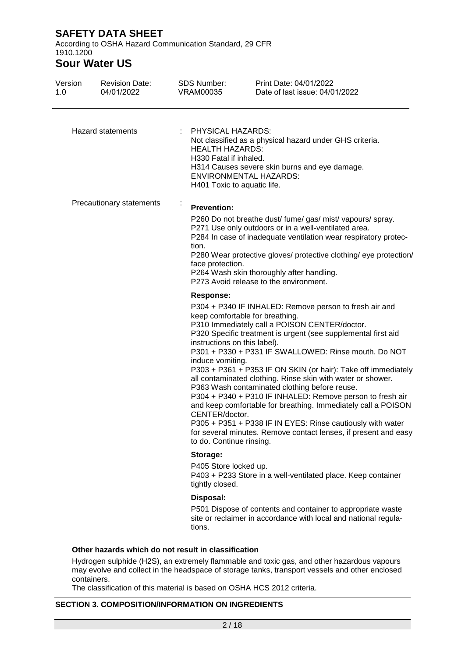According to OSHA Hazard Communication Standard, 29 CFR 1910.1200

# **Sour Water US**

| 1.0                      | <b>Revision Date:</b><br>04/01/2022 | SDS Number:<br><b>VRAM00035</b>                                                                                    | Print Date: 04/01/2022<br>Date of last issue: 04/01/2022                                                                                                                                                                                                                                                                                                                                                                                                                                                                                                                                                                                                                                                            |  |  |  |  |
|--------------------------|-------------------------------------|--------------------------------------------------------------------------------------------------------------------|---------------------------------------------------------------------------------------------------------------------------------------------------------------------------------------------------------------------------------------------------------------------------------------------------------------------------------------------------------------------------------------------------------------------------------------------------------------------------------------------------------------------------------------------------------------------------------------------------------------------------------------------------------------------------------------------------------------------|--|--|--|--|
|                          | <b>Hazard statements</b>            | : PHYSICAL HAZARDS:<br><b>HEALTH HAZARDS:</b><br>H330 Fatal if inhaled.<br>H401 Toxic to aquatic life.             | Not classified as a physical hazard under GHS criteria.<br>H314 Causes severe skin burns and eye damage.<br><b>ENVIRONMENTAL HAZARDS:</b>                                                                                                                                                                                                                                                                                                                                                                                                                                                                                                                                                                           |  |  |  |  |
| Precautionary statements |                                     | <b>Prevention:</b><br>tion.                                                                                        | P260 Do not breathe dust/ fume/ gas/ mist/ vapours/ spray.<br>P271 Use only outdoors or in a well-ventilated area.<br>P284 In case of inadequate ventilation wear respiratory protec-<br>P280 Wear protective gloves/ protective clothing/ eye protection/<br>face protection.<br>P264 Wash skin thoroughly after handling.<br>P273 Avoid release to the environment.                                                                                                                                                                                                                                                                                                                                               |  |  |  |  |
|                          |                                     | <b>Response:</b><br>instructions on this label).<br>induce vomiting.<br>CENTER/doctor.<br>to do. Continue rinsing. | P304 + P340 IF INHALED: Remove person to fresh air and<br>keep comfortable for breathing.<br>P310 Immediately call a POISON CENTER/doctor.<br>P320 Specific treatment is urgent (see supplemental first aid<br>P301 + P330 + P331 IF SWALLOWED: Rinse mouth. Do NOT<br>P303 + P361 + P353 IF ON SKIN (or hair): Take off immediately<br>all contaminated clothing. Rinse skin with water or shower.<br>P363 Wash contaminated clothing before reuse.<br>P304 + P340 + P310 IF INHALED: Remove person to fresh air<br>and keep comfortable for breathing. Immediately call a POISON<br>P305 + P351 + P338 IF IN EYES: Rinse cautiously with water<br>for several minutes. Remove contact lenses, if present and easy |  |  |  |  |
|                          |                                     | Storage:<br>P405 Store locked up.                                                                                  | P403 + P233 Store in a well-ventilated place. Keep container                                                                                                                                                                                                                                                                                                                                                                                                                                                                                                                                                                                                                                                        |  |  |  |  |
|                          |                                     | tightly closed.<br>Disposal:<br>tions.                                                                             | P501 Dispose of contents and container to appropriate waste<br>site or reclaimer in accordance with local and national regula-                                                                                                                                                                                                                                                                                                                                                                                                                                                                                                                                                                                      |  |  |  |  |

containers. The classification of this material is based on OSHA HCS 2012 criteria.

#### **SECTION 3. COMPOSITION/INFORMATION ON INGREDIENTS**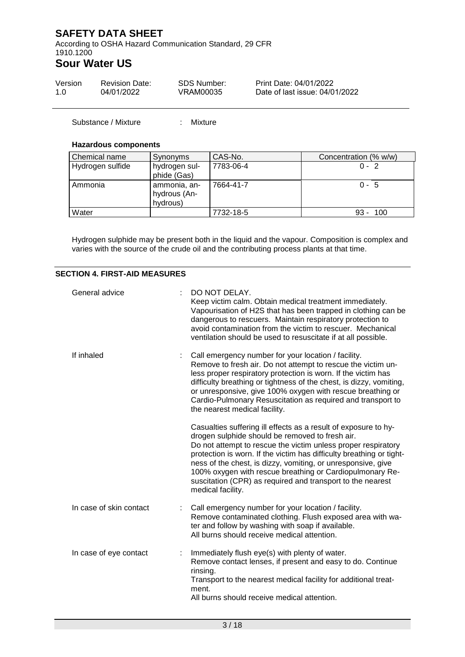According to OSHA Hazard Communication Standard, 29 CFR 1910.1200

## **Sour Water US**

| Version | <b>Revision Date:</b> | SDS Number: | Print Date: 04/01/2022         |
|---------|-----------------------|-------------|--------------------------------|
| 1.0     | 04/01/2022            | VRAM00035   | Date of last issue: 04/01/2022 |

Substance / Mixture : Mixture

#### **Hazardous components**

| Chemical name    | Synonyms                                 | CAS-No.   | Concentration (% w/w) |
|------------------|------------------------------------------|-----------|-----------------------|
| Hydrogen sulfide | hydrogen sul-<br>phide (Gas)             | 7783-06-4 | $0 - 2$               |
| Ammonia          | ammonia, an-<br>hydrous (An-<br>hydrous) | 7664-41-7 | $0 - 5$               |
| Water            |                                          | 7732-18-5 | 100<br>$93 -$         |

Hydrogen sulphide may be present both in the liquid and the vapour. Composition is complex and varies with the source of the crude oil and the contributing process plants at that time.

#### **SECTION 4. FIRST-AID MEASURES**

| General advice          | DO NOT DELAY.<br>Keep victim calm. Obtain medical treatment immediately.<br>Vapourisation of H2S that has been trapped in clothing can be<br>dangerous to rescuers. Maintain respiratory protection to<br>avoid contamination from the victim to rescuer. Mechanical<br>ventilation should be used to resuscitate if at all possible.                                                                                                                                      |
|-------------------------|----------------------------------------------------------------------------------------------------------------------------------------------------------------------------------------------------------------------------------------------------------------------------------------------------------------------------------------------------------------------------------------------------------------------------------------------------------------------------|
| If inhaled              | Call emergency number for your location / facility.<br>Remove to fresh air. Do not attempt to rescue the victim un-<br>less proper respiratory protection is worn. If the victim has<br>difficulty breathing or tightness of the chest, is dizzy, vomiting,<br>or unresponsive, give 100% oxygen with rescue breathing or<br>Cardio-Pulmonary Resuscitation as required and transport to<br>the nearest medical facility.                                                  |
|                         | Casualties suffering ill effects as a result of exposure to hy-<br>drogen sulphide should be removed to fresh air.<br>Do not attempt to rescue the victim unless proper respiratory<br>protection is worn. If the victim has difficulty breathing or tight-<br>ness of the chest, is dizzy, vomiting, or unresponsive, give<br>100% oxygen with rescue breathing or Cardiopulmonary Re-<br>suscitation (CPR) as required and transport to the nearest<br>medical facility. |
| In case of skin contact | Call emergency number for your location / facility.<br>Remove contaminated clothing. Flush exposed area with wa-<br>ter and follow by washing with soap if available.<br>All burns should receive medical attention.                                                                                                                                                                                                                                                       |
| In case of eye contact  | Immediately flush eye(s) with plenty of water.<br>Remove contact lenses, if present and easy to do. Continue<br>rinsing.<br>Transport to the nearest medical facility for additional treat-<br>ment.<br>All burns should receive medical attention.                                                                                                                                                                                                                        |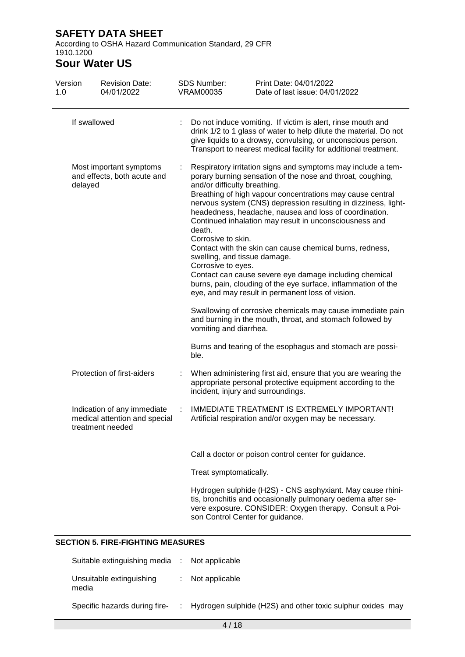According to OSHA Hazard Communication Standard, 29 CFR 1910.1200

# **Sour Water US**

| Version<br>1.0                                                    |              | <b>Revision Date:</b><br>04/01/2022                                              |                                                                                              | <b>SDS Number:</b><br><b>VRAM00035</b>                                                                                                                                                                                                                                                                                                                                                                                                    | Print Date: 04/01/2022<br>Date of last issue: 04/01/2022                                                                                                                             |  |
|-------------------------------------------------------------------|--------------|----------------------------------------------------------------------------------|----------------------------------------------------------------------------------------------|-------------------------------------------------------------------------------------------------------------------------------------------------------------------------------------------------------------------------------------------------------------------------------------------------------------------------------------------------------------------------------------------------------------------------------------------|--------------------------------------------------------------------------------------------------------------------------------------------------------------------------------------|--|
|                                                                   | If swallowed |                                                                                  |                                                                                              | Do not induce vomiting. If victim is alert, rinse mouth and<br>drink 1/2 to 1 glass of water to help dilute the material. Do not<br>give liquids to a drowsy, convulsing, or unconscious person.<br>Transport to nearest medical facility for additional treatment.                                                                                                                                                                       |                                                                                                                                                                                      |  |
| Most important symptoms<br>and effects, both acute and<br>delayed |              |                                                                                  | and/or difficulty breathing.<br>death.<br>Corrosive to skin.<br>swelling, and tissue damage. | Respiratory irritation signs and symptoms may include a tem-<br>porary burning sensation of the nose and throat, coughing,<br>Breathing of high vapour concentrations may cause central<br>nervous system (CNS) depression resulting in dizziness, light-<br>headedness, headache, nausea and loss of coordination.<br>Continued inhalation may result in unconsciousness and<br>Contact with the skin can cause chemical burns, redness, |                                                                                                                                                                                      |  |
|                                                                   |              |                                                                                  |                                                                                              | Corrosive to eyes.                                                                                                                                                                                                                                                                                                                                                                                                                        | Contact can cause severe eye damage including chemical<br>burns, pain, clouding of the eye surface, inflammation of the<br>eye, and may result in permanent loss of vision.          |  |
|                                                                   |              |                                                                                  |                                                                                              | vomiting and diarrhea.                                                                                                                                                                                                                                                                                                                                                                                                                    | Swallowing of corrosive chemicals may cause immediate pain<br>and burning in the mouth, throat, and stomach followed by                                                              |  |
|                                                                   |              |                                                                                  |                                                                                              | ble.                                                                                                                                                                                                                                                                                                                                                                                                                                      | Burns and tearing of the esophagus and stomach are possi-                                                                                                                            |  |
|                                                                   |              | Protection of first-aiders                                                       |                                                                                              | incident, injury and surroundings.                                                                                                                                                                                                                                                                                                                                                                                                        | When administering first aid, ensure that you are wearing the<br>appropriate personal protective equipment according to the                                                          |  |
|                                                                   |              | Indication of any immediate<br>medical attention and special<br>treatment needed | ÷                                                                                            |                                                                                                                                                                                                                                                                                                                                                                                                                                           | IMMEDIATE TREATMENT IS EXTREMELY IMPORTANT!<br>Artificial respiration and/or oxygen may be necessary.                                                                                |  |
|                                                                   |              |                                                                                  |                                                                                              |                                                                                                                                                                                                                                                                                                                                                                                                                                           | Call a doctor or poison control center for guidance.                                                                                                                                 |  |
|                                                                   |              |                                                                                  |                                                                                              | Treat symptomatically.                                                                                                                                                                                                                                                                                                                                                                                                                    |                                                                                                                                                                                      |  |
|                                                                   |              |                                                                                  |                                                                                              | son Control Center for guidance.                                                                                                                                                                                                                                                                                                                                                                                                          | Hydrogen sulphide (H2S) - CNS asphyxiant. May cause rhini-<br>tis, bronchitis and occasionally pulmonary oedema after se-<br>vere exposure. CONSIDER: Oxygen therapy. Consult a Poi- |  |

### **SECTION 5. FIRE-FIGHTING MEASURES**

| Suitable extinguishing media :    | Not applicable                                               |
|-----------------------------------|--------------------------------------------------------------|
| Unsuitable extinguishing<br>media | : Not applicable                                             |
| Specific hazards during fire-     | : Hydrogen sulphide (H2S) and other toxic sulphur oxides may |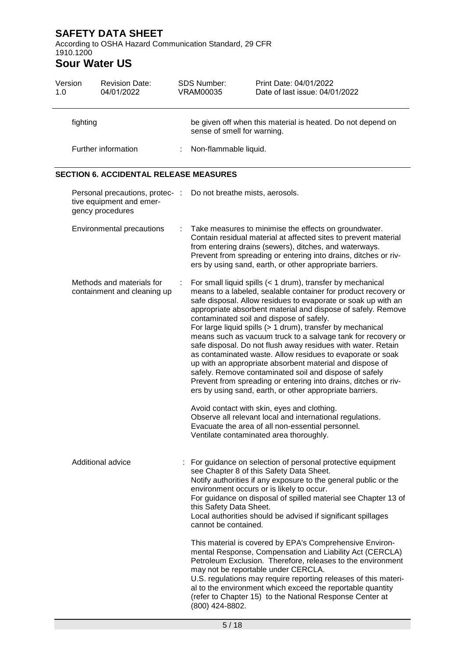According to OSHA Hazard Communication Standard, 29 CFR 1910.1200

# **Sour Water US**

| Version<br>1.0                                | <b>Revision Date:</b><br>04/01/2022                                             |   | <b>SDS Number:</b><br><b>VRAM00035</b>          | Print Date: 04/01/2022<br>Date of last issue: 04/01/2022                                                                                                                                                                                                                                                                                                                                                                                                                                                                                                                                                                                                                                                                                                                                                                                                                                                                               |  |  |  |
|-----------------------------------------------|---------------------------------------------------------------------------------|---|-------------------------------------------------|----------------------------------------------------------------------------------------------------------------------------------------------------------------------------------------------------------------------------------------------------------------------------------------------------------------------------------------------------------------------------------------------------------------------------------------------------------------------------------------------------------------------------------------------------------------------------------------------------------------------------------------------------------------------------------------------------------------------------------------------------------------------------------------------------------------------------------------------------------------------------------------------------------------------------------------|--|--|--|
|                                               | fighting                                                                        |   | sense of smell for warning.                     | be given off when this material is heated. Do not depend on                                                                                                                                                                                                                                                                                                                                                                                                                                                                                                                                                                                                                                                                                                                                                                                                                                                                            |  |  |  |
|                                               | Further information                                                             |   | Non-flammable liquid.                           |                                                                                                                                                                                                                                                                                                                                                                                                                                                                                                                                                                                                                                                                                                                                                                                                                                                                                                                                        |  |  |  |
| <b>SECTION 6. ACCIDENTAL RELEASE MEASURES</b> |                                                                                 |   |                                                 |                                                                                                                                                                                                                                                                                                                                                                                                                                                                                                                                                                                                                                                                                                                                                                                                                                                                                                                                        |  |  |  |
|                                               | Personal precautions, protec- :<br>tive equipment and emer-<br>gency procedures |   | Do not breathe mists, aerosols.                 |                                                                                                                                                                                                                                                                                                                                                                                                                                                                                                                                                                                                                                                                                                                                                                                                                                                                                                                                        |  |  |  |
|                                               | Environmental precautions                                                       | ÷ |                                                 | Take measures to minimise the effects on groundwater.<br>Contain residual material at affected sites to prevent material<br>from entering drains (sewers), ditches, and waterways.<br>Prevent from spreading or entering into drains, ditches or riv-<br>ers by using sand, earth, or other appropriate barriers.                                                                                                                                                                                                                                                                                                                                                                                                                                                                                                                                                                                                                      |  |  |  |
|                                               | Methods and materials for<br>containment and cleaning up                        | ÷ |                                                 | For small liquid spills (< 1 drum), transfer by mechanical<br>means to a labeled, sealable container for product recovery or<br>safe disposal. Allow residues to evaporate or soak up with an<br>appropriate absorbent material and dispose of safely. Remove<br>contaminated soil and dispose of safely.<br>For large liquid spills (> 1 drum), transfer by mechanical<br>means such as vacuum truck to a salvage tank for recovery or<br>safe disposal. Do not flush away residues with water. Retain<br>as contaminated waste. Allow residues to evaporate or soak<br>up with an appropriate absorbent material and dispose of<br>safely. Remove contaminated soil and dispose of safely<br>Prevent from spreading or entering into drains, ditches or riv-<br>ers by using sand, earth, or other appropriate barriers.<br>Avoid contact with skin, eyes and clothing.<br>Observe all relevant local and international regulations. |  |  |  |
|                                               |                                                                                 |   |                                                 | Evacuate the area of all non-essential personnel.<br>Ventilate contaminated area thoroughly.                                                                                                                                                                                                                                                                                                                                                                                                                                                                                                                                                                                                                                                                                                                                                                                                                                           |  |  |  |
|                                               | <b>Additional advice</b>                                                        |   | this Safety Data Sheet.<br>cannot be contained. | For guidance on selection of personal protective equipment<br>see Chapter 8 of this Safety Data Sheet.<br>Notify authorities if any exposure to the general public or the<br>environment occurs or is likely to occur.<br>For guidance on disposal of spilled material see Chapter 13 of<br>Local authorities should be advised if significant spillages                                                                                                                                                                                                                                                                                                                                                                                                                                                                                                                                                                               |  |  |  |
|                                               |                                                                                 |   | (800) 424-8802.                                 | This material is covered by EPA's Comprehensive Environ-<br>mental Response, Compensation and Liability Act (CERCLA)<br>Petroleum Exclusion. Therefore, releases to the environment<br>may not be reportable under CERCLA.<br>U.S. regulations may require reporting releases of this materi-<br>al to the environment which exceed the reportable quantity<br>(refer to Chapter 15) to the National Response Center at                                                                                                                                                                                                                                                                                                                                                                                                                                                                                                                |  |  |  |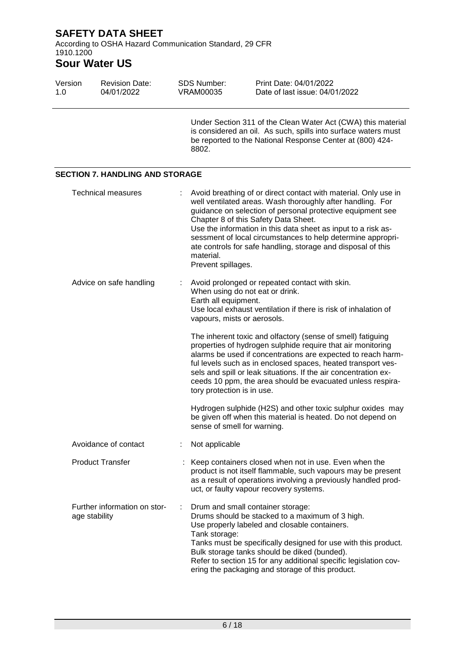According to OSHA Hazard Communication Standard, 29 CFR 1910.1200

## **Sour Water US**

| Version<br>1.0 | <b>Revision Date:</b><br>04/01/2022           | <b>SDS Number:</b><br><b>VRAM00035</b> | Print Date: 04/01/2022<br>Date of last issue: 04/01/2022                                                                                                                                                                                                                                                                                                                                                                            |
|----------------|-----------------------------------------------|----------------------------------------|-------------------------------------------------------------------------------------------------------------------------------------------------------------------------------------------------------------------------------------------------------------------------------------------------------------------------------------------------------------------------------------------------------------------------------------|
|                |                                               | 8802.                                  | Under Section 311 of the Clean Water Act (CWA) this material<br>is considered an oil. As such, spills into surface waters must<br>be reported to the National Response Center at (800) 424-                                                                                                                                                                                                                                         |
|                | <b>SECTION 7. HANDLING AND STORAGE</b>        |                                        |                                                                                                                                                                                                                                                                                                                                                                                                                                     |
|                | <b>Technical measures</b>                     | material.<br>Prevent spillages.        | Avoid breathing of or direct contact with material. Only use in<br>well ventilated areas. Wash thoroughly after handling. For<br>guidance on selection of personal protective equipment see<br>Chapter 8 of this Safety Data Sheet.<br>Use the information in this data sheet as input to a risk as-<br>sessment of local circumstances to help determine appropri-<br>ate controls for safe handling, storage and disposal of this |
|                | Advice on safe handling                       |                                        | Avoid prolonged or repeated contact with skin.<br>When using do not eat or drink.<br>Earth all equipment.<br>Use local exhaust ventilation if there is risk of inhalation of<br>vapours, mists or aerosols.                                                                                                                                                                                                                         |
|                |                                               |                                        | The inherent toxic and olfactory (sense of smell) fatiguing<br>properties of hydrogen sulphide require that air monitoring<br>alarms be used if concentrations are expected to reach harm-<br>ful levels such as in enclosed spaces, heated transport ves-<br>sels and spill or leak situations. If the air concentration ex-<br>ceeds 10 ppm, the area should be evacuated unless respira-<br>tory protection is in use.           |
|                |                                               |                                        | Hydrogen sulphide (H2S) and other toxic sulphur oxides may<br>be given off when this material is heated. Do not depend on<br>sense of smell for warning.                                                                                                                                                                                                                                                                            |
|                | Avoidance of contact                          | Not applicable                         |                                                                                                                                                                                                                                                                                                                                                                                                                                     |
|                | <b>Product Transfer</b>                       |                                        | Keep containers closed when not in use. Even when the<br>product is not itself flammable, such vapours may be present<br>as a result of operations involving a previously handled prod-<br>uct, or faulty vapour recovery systems.                                                                                                                                                                                                  |
|                | Further information on stor-<br>age stability | Tank storage:                          | Drum and small container storage:<br>Drums should be stacked to a maximum of 3 high.<br>Use properly labeled and closable containers.<br>Tanks must be specifically designed for use with this product.<br>Bulk storage tanks should be diked (bunded).<br>Refer to section 15 for any additional specific legislation cov-<br>ering the packaging and storage of this product.                                                     |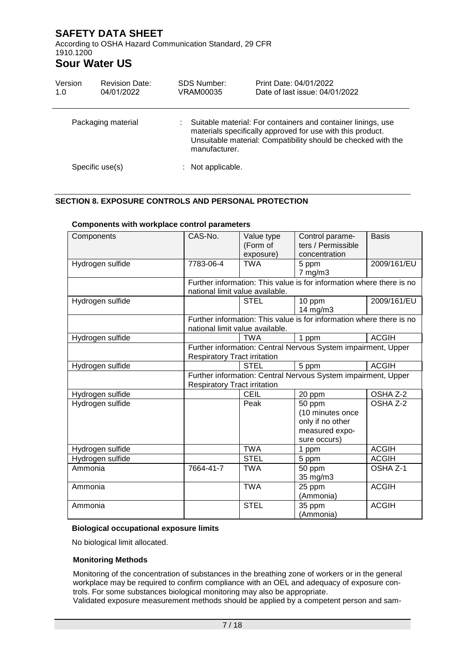According to OSHA Hazard Communication Standard, 29 CFR 1910.1200

## **Sour Water US**

| Version<br>1.0 | <b>Revision Date:</b><br>04/01/2022 | <b>SDS Number:</b><br>VRAM00035 | Print Date: 04/01/2022<br>Date of last issue: 04/01/2022                                                                                                                                    |
|----------------|-------------------------------------|---------------------------------|---------------------------------------------------------------------------------------------------------------------------------------------------------------------------------------------|
|                | Packaging material                  | manufacturer.                   | Suitable material: For containers and container linings, use<br>materials specifically approved for use with this product.<br>Unsuitable material: Compatibility should be checked with the |
|                | Specific use(s)                     | $:$ Not applicable.             |                                                                                                                                                                                             |

### **SECTION 8. EXPOSURE CONTROLS AND PERSONAL PROTECTION**

| Components       | CAS-No.                             | Value type  | Control parame-                                                      | <b>Basis</b> |
|------------------|-------------------------------------|-------------|----------------------------------------------------------------------|--------------|
|                  |                                     | (Form of    | ters / Permissible                                                   |              |
|                  |                                     | exposure)   | concentration                                                        |              |
| Hydrogen sulfide | 7783-06-4                           | <b>TWA</b>  | 5 ppm                                                                | 2009/161/EU  |
|                  |                                     |             | $7$ mg/m $3$                                                         |              |
|                  |                                     |             | Further information: This value is for information where there is no |              |
|                  | national limit value available.     |             |                                                                      |              |
| Hydrogen sulfide |                                     | <b>STEL</b> | 10 ppm                                                               | 2009/161/EU  |
|                  |                                     |             | 14 mg/m3                                                             |              |
|                  |                                     |             | Further information: This value is for information where there is no |              |
|                  | national limit value available.     |             |                                                                      |              |
| Hydrogen sulfide |                                     | <b>TWA</b>  | 1 ppm                                                                | <b>ACGIH</b> |
|                  |                                     |             | Further information: Central Nervous System impairment, Upper        |              |
|                  | <b>Respiratory Tract irritation</b> |             |                                                                      |              |
| Hydrogen sulfide |                                     | <b>STEL</b> | 5 ppm                                                                | <b>ACGIH</b> |
|                  |                                     |             | Further information: Central Nervous System impairment, Upper        |              |
|                  | <b>Respiratory Tract irritation</b> |             |                                                                      |              |
| Hydrogen sulfide |                                     | <b>CEIL</b> | 20 ppm                                                               | OSHA Z-2     |
| Hydrogen sulfide |                                     | Peak        | 50 ppm                                                               | OSHA Z-2     |
|                  |                                     |             | (10 minutes once                                                     |              |
|                  |                                     |             | only if no other                                                     |              |
|                  |                                     |             | measured expo-                                                       |              |
|                  |                                     |             | sure occurs)                                                         |              |
| Hydrogen sulfide |                                     | <b>TWA</b>  | 1 ppm                                                                | <b>ACGIH</b> |
| Hydrogen sulfide |                                     | <b>STEL</b> | 5 ppm                                                                | <b>ACGIH</b> |
| Ammonia          | 7664-41-7                           | <b>TWA</b>  | 50 ppm                                                               | OSHA Z-1     |
|                  |                                     |             | 35 mg/m3                                                             |              |
| Ammonia          |                                     | <b>TWA</b>  | 25 ppm                                                               | <b>ACGIH</b> |
|                  |                                     |             | (Ammonia)                                                            |              |
| Ammonia          |                                     | <b>STEL</b> | 35 ppm                                                               | <b>ACGIH</b> |
|                  |                                     |             | (Ammonia)                                                            |              |

#### **Components with workplace control parameters**

#### **Biological occupational exposure limits**

No biological limit allocated.

#### **Monitoring Methods**

Monitoring of the concentration of substances in the breathing zone of workers or in the general workplace may be required to confirm compliance with an OEL and adequacy of exposure controls. For some substances biological monitoring may also be appropriate.

Validated exposure measurement methods should be applied by a competent person and sam-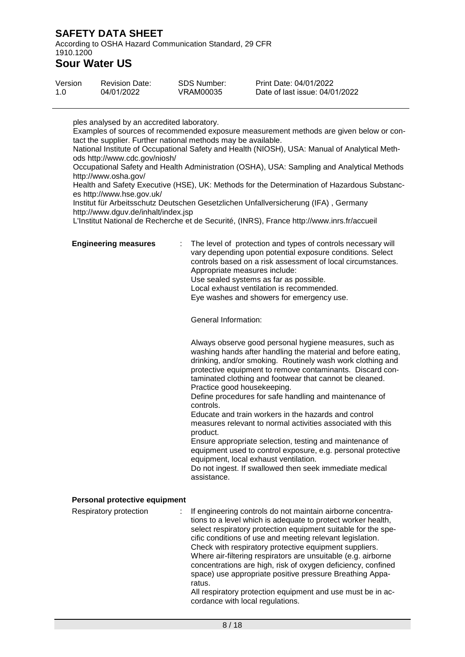According to OSHA Hazard Communication Standard, 29 CFR 1910.1200

### **Sour Water US**

| Version | <b>Revision Date:</b> | <b>SDS Number:</b> | Print Date: 04/01/2022         |
|---------|-----------------------|--------------------|--------------------------------|
| 1.0     | 04/01/2022            | VRAM00035          | Date of last issue: 04/01/2022 |

ples analysed by an accredited laboratory. Examples of sources of recommended exposure measurement methods are given below or contact the supplier. Further national methods may be available. National Institute of Occupational Safety and Health (NIOSH), USA: Manual of Analytical Methods http://www.cdc.gov/niosh/ Occupational Safety and Health Administration (OSHA), USA: Sampling and Analytical Methods http://www.osha.gov/ Health and Safety Executive (HSE), UK: Methods for the Determination of Hazardous Substances http://www.hse.gov.uk/ Institut für Arbeitsschutz Deutschen Gesetzlichen Unfallversicherung (IFA) , Germany http://www.dguv.de/inhalt/index.jsp L'Institut National de Recherche et de Securité, (INRS), France http://www.inrs.fr/accueil **Engineering measures** : The level of protection and types of controls necessary will vary depending upon potential exposure conditions. Select controls based on a risk assessment of local circumstances. Appropriate measures include: Use sealed systems as far as possible. Local exhaust ventilation is recommended. Eye washes and showers for emergency use. General Information: Always observe good personal hygiene measures, such as washing hands after handling the material and before eating, drinking, and/or smoking. Routinely wash work clothing and protective equipment to remove contaminants. Discard contaminated clothing and footwear that cannot be cleaned. Practice good housekeeping. Define procedures for safe handling and maintenance of controls. Educate and train workers in the hazards and control measures relevant to normal activities associated with this product. Ensure appropriate selection, testing and maintenance of equipment used to control exposure, e.g. personal protective equipment, local exhaust ventilation. Do not ingest. If swallowed then seek immediate medical assistance. **Personal protective equipment** Respiratory protection : If engineering controls do not maintain airborne concentrations to a level which is adequate to protect worker health, select respiratory protection equipment suitable for the specific conditions of use and meeting relevant legislation. Check with respiratory protective equipment suppliers.

Where air-filtering respirators are unsuitable (e.g. airborne concentrations are high, risk of oxygen deficiency, confined space) use appropriate positive pressure Breathing Apparatus.

All respiratory protection equipment and use must be in accordance with local regulations.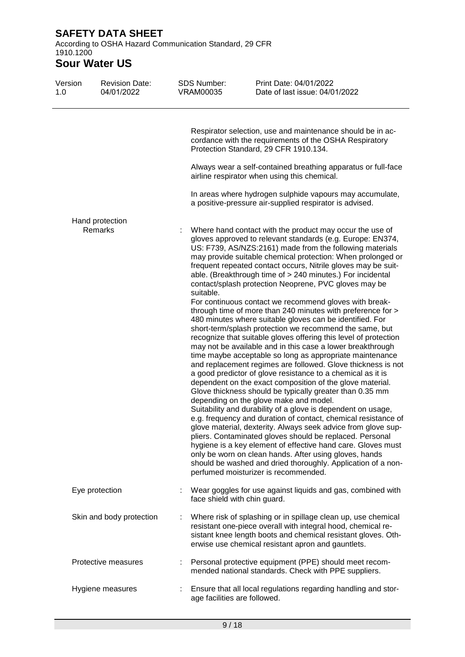According to OSHA Hazard Communication Standard, 29 CFR 1910.1200

## **Sour Water US**

| Version<br>1.0 | <b>Revision Date:</b><br>04/01/2022 | SDS Number:<br><b>VRAM00035</b> | Print Date: 04/01/2022<br>Date of last issue: 04/01/2022                                                                                                                                                                                                                                                                                                                                                                                                                                                                                                                                                                                                                                                                                                                                                                                                                                                                                                                                                                                                                                                                                                                                                                                                                                                                                                                                                                                                                                                                                                                                                                                                                                   |
|----------------|-------------------------------------|---------------------------------|--------------------------------------------------------------------------------------------------------------------------------------------------------------------------------------------------------------------------------------------------------------------------------------------------------------------------------------------------------------------------------------------------------------------------------------------------------------------------------------------------------------------------------------------------------------------------------------------------------------------------------------------------------------------------------------------------------------------------------------------------------------------------------------------------------------------------------------------------------------------------------------------------------------------------------------------------------------------------------------------------------------------------------------------------------------------------------------------------------------------------------------------------------------------------------------------------------------------------------------------------------------------------------------------------------------------------------------------------------------------------------------------------------------------------------------------------------------------------------------------------------------------------------------------------------------------------------------------------------------------------------------------------------------------------------------------|
|                |                                     |                                 | Respirator selection, use and maintenance should be in ac-<br>cordance with the requirements of the OSHA Respiratory<br>Protection Standard, 29 CFR 1910.134.                                                                                                                                                                                                                                                                                                                                                                                                                                                                                                                                                                                                                                                                                                                                                                                                                                                                                                                                                                                                                                                                                                                                                                                                                                                                                                                                                                                                                                                                                                                              |
|                |                                     |                                 | Always wear a self-contained breathing apparatus or full-face<br>airline respirator when using this chemical.                                                                                                                                                                                                                                                                                                                                                                                                                                                                                                                                                                                                                                                                                                                                                                                                                                                                                                                                                                                                                                                                                                                                                                                                                                                                                                                                                                                                                                                                                                                                                                              |
|                |                                     |                                 | In areas where hydrogen sulphide vapours may accumulate,<br>a positive-pressure air-supplied respirator is advised.                                                                                                                                                                                                                                                                                                                                                                                                                                                                                                                                                                                                                                                                                                                                                                                                                                                                                                                                                                                                                                                                                                                                                                                                                                                                                                                                                                                                                                                                                                                                                                        |
|                | Hand protection<br>Remarks          | suitable.                       | Where hand contact with the product may occur the use of<br>gloves approved to relevant standards (e.g. Europe: EN374,<br>US: F739, AS/NZS:2161) made from the following materials<br>may provide suitable chemical protection: When prolonged or<br>frequent repeated contact occurs, Nitrile gloves may be suit-<br>able. (Breakthrough time of > 240 minutes.) For incidental<br>contact/splash protection Neoprene, PVC gloves may be<br>For continuous contact we recommend gloves with break-<br>through time of more than 240 minutes with preference for ><br>480 minutes where suitable gloves can be identified. For<br>short-term/splash protection we recommend the same, but<br>recognize that suitable gloves offering this level of protection<br>may not be available and in this case a lower breakthrough<br>time maybe acceptable so long as appropriate maintenance<br>and replacement regimes are followed. Glove thickness is not<br>a good predictor of glove resistance to a chemical as it is<br>dependent on the exact composition of the glove material.<br>Glove thickness should be typically greater than 0.35 mm<br>depending on the glove make and model.<br>Suitability and durability of a glove is dependent on usage,<br>e.g. frequency and duration of contact, chemical resistance of<br>glove material, dexterity. Always seek advice from glove sup-<br>pliers. Contaminated gloves should be replaced. Personal<br>hygiene is a key element of effective hand care. Gloves must<br>only be worn on clean hands. After using gloves, hands<br>should be washed and dried thoroughly. Application of a non-<br>perfumed moisturizer is recommended. |
|                | Eye protection                      | face shield with chin guard.    | Wear goggles for use against liquids and gas, combined with                                                                                                                                                                                                                                                                                                                                                                                                                                                                                                                                                                                                                                                                                                                                                                                                                                                                                                                                                                                                                                                                                                                                                                                                                                                                                                                                                                                                                                                                                                                                                                                                                                |
|                | Skin and body protection            |                                 | Where risk of splashing or in spillage clean up, use chemical<br>resistant one-piece overall with integral hood, chemical re-<br>sistant knee length boots and chemical resistant gloves. Oth-<br>erwise use chemical resistant apron and gauntlets.                                                                                                                                                                                                                                                                                                                                                                                                                                                                                                                                                                                                                                                                                                                                                                                                                                                                                                                                                                                                                                                                                                                                                                                                                                                                                                                                                                                                                                       |
|                | Protective measures                 |                                 | Personal protective equipment (PPE) should meet recom-<br>mended national standards. Check with PPE suppliers.                                                                                                                                                                                                                                                                                                                                                                                                                                                                                                                                                                                                                                                                                                                                                                                                                                                                                                                                                                                                                                                                                                                                                                                                                                                                                                                                                                                                                                                                                                                                                                             |
|                | Hygiene measures                    | age facilities are followed.    | Ensure that all local regulations regarding handling and stor-                                                                                                                                                                                                                                                                                                                                                                                                                                                                                                                                                                                                                                                                                                                                                                                                                                                                                                                                                                                                                                                                                                                                                                                                                                                                                                                                                                                                                                                                                                                                                                                                                             |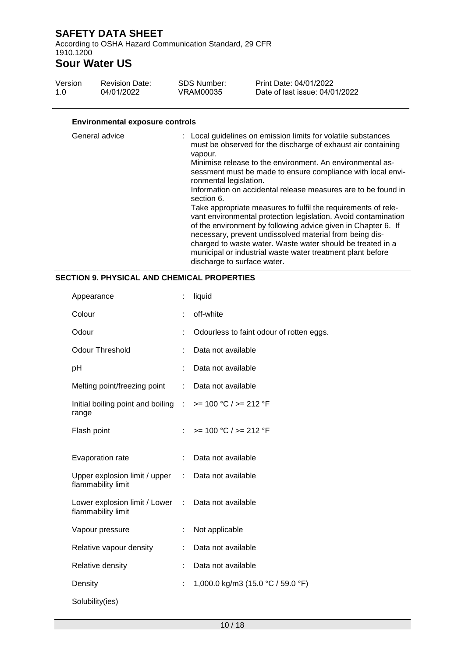According to OSHA Hazard Communication Standard, 29 CFR 1910.1200

## **Sour Water US**

| Version<br>1.0                                           | <b>Revision Date:</b><br>04/01/2022 | <b>SDS Number:</b><br>VRAM00035                 | Print Date: 04/01/2022<br>Date of last issue: 04/01/2022                                                                                                                                                                                                                                                                                                                                                                                                                                                                                                                                                                                                                                                              |
|----------------------------------------------------------|-------------------------------------|-------------------------------------------------|-----------------------------------------------------------------------------------------------------------------------------------------------------------------------------------------------------------------------------------------------------------------------------------------------------------------------------------------------------------------------------------------------------------------------------------------------------------------------------------------------------------------------------------------------------------------------------------------------------------------------------------------------------------------------------------------------------------------------|
|                                                          |                                     |                                                 |                                                                                                                                                                                                                                                                                                                                                                                                                                                                                                                                                                                                                                                                                                                       |
| <b>Environmental exposure controls</b><br>General advice |                                     | vapour.<br>ronmental legislation.<br>section 6. | : Local guidelines on emission limits for volatile substances<br>must be observed for the discharge of exhaust air containing<br>Minimise release to the environment. An environmental as-<br>sessment must be made to ensure compliance with local envi-<br>Information on accidental release measures are to be found in<br>Take appropriate measures to fulfil the requirements of rele-<br>vant environmental protection legislation. Avoid contamination<br>of the environment by following advice given in Chapter 6. If<br>necessary, prevent undissolved material from being dis-<br>charged to waste water. Waste water should be treated in a<br>municipal or industrial waste water treatment plant before |

discharge to surface water.

#### **SECTION 9. PHYSICAL AND CHEMICAL PROPERTIES**

| Appearance                                                                    | t. | liquid                                   |
|-------------------------------------------------------------------------------|----|------------------------------------------|
| Colour                                                                        | ÷  | off-white                                |
| Odour                                                                         |    | Odourless to faint odour of rotten eggs. |
| Odour Threshold                                                               |    | Data not available                       |
| pH                                                                            |    | Data not available                       |
| Melting point/freezing point                                                  | t. | Data not available                       |
| Initial boiling point and boiling $\therefore$ >= 100 °C / >= 212 °F<br>range |    |                                          |
| Flash point                                                                   |    | $>= 100 °C / = 212 °F$                   |
| Evaporation rate                                                              | ÷  | Data not available                       |
| Upper explosion limit / upper<br>flammability limit                           | ÷  | Data not available                       |
| Lower explosion limit / Lower : Data not available<br>flammability limit      |    |                                          |
| Vapour pressure                                                               | ÷  | Not applicable                           |
|                                                                               |    |                                          |
| Relative vapour density                                                       | ÷  | Data not available                       |
| Relative density                                                              | t  | Data not available                       |
| Density                                                                       |    | 1,000.0 kg/m3 (15.0 °C / 59.0 °F)        |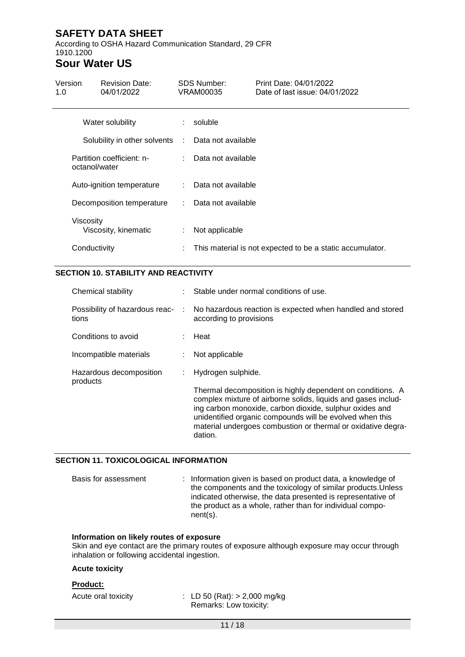According to OSHA Hazard Communication Standard, 29 CFR 1910.1200

## **Sour Water US**

| Version<br>1.0 | <b>Revision Date:</b><br>04/01/2022 |    | <b>SDS Number:</b><br>VRAM00035 | Print Date: 04/01/2022<br>Date of last issue: 04/01/2022  |
|----------------|-------------------------------------|----|---------------------------------|-----------------------------------------------------------|
|                | Water solubility                    |    | soluble                         |                                                           |
|                | Solubility in other solvents :      |    | Data not available              |                                                           |
| octanol/water  | Partition coefficient: n-           |    | Data not available              |                                                           |
|                | Auto-ignition temperature           |    | : Data not available            |                                                           |
|                | Decomposition temperature           | ÷. | Data not available              |                                                           |
| Viscosity      | Viscosity, kinematic                | ÷. | Not applicable                  |                                                           |
| Conductivity   |                                     | ÷  |                                 | This material is not expected to be a static accumulator. |

#### **SECTION 10. STABILITY AND REACTIVITY**

| Chemical stability                  | Stable under normal conditions of use.                                                                                                                                                                                                                                                                                        |
|-------------------------------------|-------------------------------------------------------------------------------------------------------------------------------------------------------------------------------------------------------------------------------------------------------------------------------------------------------------------------------|
| tions                               | Possibility of hazardous reac- : No hazardous reaction is expected when handled and stored<br>according to provisions                                                                                                                                                                                                         |
| Conditions to avoid                 | : Heat                                                                                                                                                                                                                                                                                                                        |
| Incompatible materials              | Not applicable                                                                                                                                                                                                                                                                                                                |
| Hazardous decomposition<br>products | : Hydrogen sulphide.                                                                                                                                                                                                                                                                                                          |
|                                     | Thermal decomposition is highly dependent on conditions. A<br>complex mixture of airborne solids, liquids and gases includ-<br>ing carbon monoxide, carbon dioxide, sulphur oxides and<br>unidentified organic compounds will be evolved when this<br>material undergoes combustion or thermal or oxidative degra-<br>dation. |

#### **SECTION 11. TOXICOLOGICAL INFORMATION**

Basis for assessment : Information given is based on product data, a knowledge of the components and the toxicology of similar products.Unless indicated otherwise, the data presented is representative of the product as a whole, rather than for individual component(s).

#### **Information on likely routes of exposure**

Skin and eye contact are the primary routes of exposure although exposure may occur through inhalation or following accidental ingestion.

#### **Acute toxicity**

#### **Product:**

Acute oral toxicity : LD 50 (Rat): > 2,000 mg/kg Remarks: Low toxicity: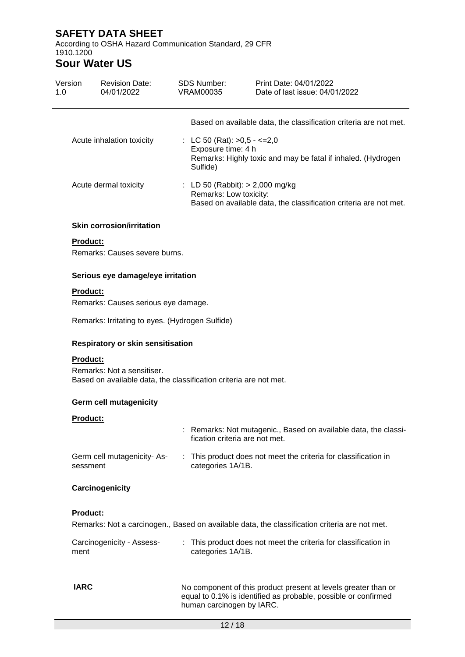According to OSHA Hazard Communication Standard, 29 CFR 1910.1200

## **Sour Water US**

| Version<br>1.0  | <b>Revision Date:</b><br>04/01/2022                                                             |   | <b>SDS Number:</b><br><b>VRAM00035</b>                           | Print Date: 04/01/2022<br>Date of last issue: 04/01/2022                                      |
|-----------------|-------------------------------------------------------------------------------------------------|---|------------------------------------------------------------------|-----------------------------------------------------------------------------------------------|
|                 |                                                                                                 |   |                                                                  | Based on available data, the classification criteria are not met.                             |
|                 | Acute inhalation toxicity                                                                       |   | : LC 50 (Rat): $>0.5 - < =2.0$<br>Exposure time: 4 h<br>Sulfide) | Remarks: Highly toxic and may be fatal if inhaled. (Hydrogen                                  |
|                 | Acute dermal toxicity                                                                           |   | : LD 50 (Rabbit): $> 2,000$ mg/kg<br>Remarks: Low toxicity:      | Based on available data, the classification criteria are not met.                             |
|                 | <b>Skin corrosion/irritation</b>                                                                |   |                                                                  |                                                                                               |
| <b>Product:</b> |                                                                                                 |   |                                                                  |                                                                                               |
|                 | Remarks: Causes severe burns.                                                                   |   |                                                                  |                                                                                               |
|                 | Serious eye damage/eye irritation                                                               |   |                                                                  |                                                                                               |
| <b>Product:</b> |                                                                                                 |   |                                                                  |                                                                                               |
|                 | Remarks: Causes serious eye damage.                                                             |   |                                                                  |                                                                                               |
|                 | Remarks: Irritating to eyes. (Hydrogen Sulfide)                                                 |   |                                                                  |                                                                                               |
|                 | Respiratory or skin sensitisation                                                               |   |                                                                  |                                                                                               |
| <b>Product:</b> |                                                                                                 |   |                                                                  |                                                                                               |
|                 | Remarks: Not a sensitiser.<br>Based on available data, the classification criteria are not met. |   |                                                                  |                                                                                               |
|                 | <b>Germ cell mutagenicity</b>                                                                   |   |                                                                  |                                                                                               |
| Product:        |                                                                                                 |   |                                                                  |                                                                                               |
|                 |                                                                                                 |   | fication criteria are not met.                                   | : Remarks: Not mutagenic., Based on available data, the classi-                               |
| sessment        | Germ cell mutagenicity-As-                                                                      |   | categories 1A/1B.                                                | This product does not meet the criteria for classification in                                 |
|                 | Carcinogenicity                                                                                 |   |                                                                  |                                                                                               |
| <b>Product:</b> |                                                                                                 |   |                                                                  |                                                                                               |
|                 |                                                                                                 |   |                                                                  | Remarks: Not a carcinogen., Based on available data, the classification criteria are not met. |
| ment            | Carcinogenicity - Assess-                                                                       | ÷ | categories 1A/1B.                                                | This product does not meet the criteria for classification in                                 |
| <b>IARC</b>     |                                                                                                 |   |                                                                  | No component of this product present at levels greater than or                                |

human carcinogen by IARC.

equal to 0.1% is identified as probable, possible or confirmed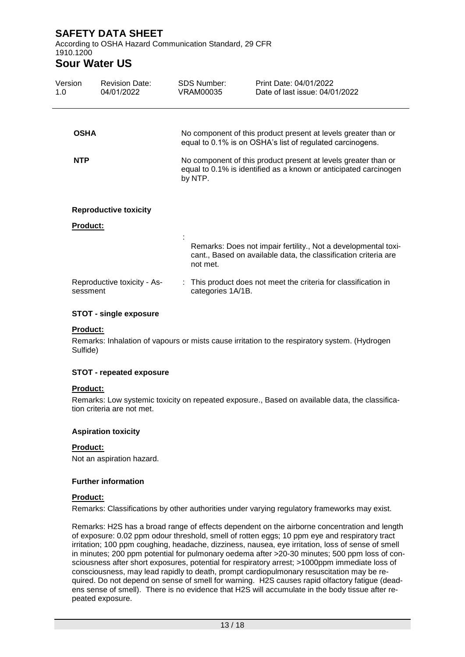According to OSHA Hazard Communication Standard, 29 CFR 1910.1200

### **Sour Water US**

| Version<br>1.0  | <b>Revision Date:</b><br>04/01/2022 | SDS Number:<br>VRAM00035 | Print Date: 04/01/2022<br>Date of last issue: 04/01/2022                                                                           |
|-----------------|-------------------------------------|--------------------------|------------------------------------------------------------------------------------------------------------------------------------|
| <b>OSHA</b>     |                                     |                          | No component of this product present at levels greater than or<br>equal to 0.1% is on OSHA's list of regulated carcinogens.        |
| <b>NTP</b>      |                                     | by NTP.                  | No component of this product present at levels greater than or<br>equal to 0.1% is identified as a known or anticipated carcinogen |
| <b>Product:</b> | <b>Reproductive toxicity</b>        |                          |                                                                                                                                    |
|                 |                                     | not met.                 | Remarks: Does not impair fertility., Not a developmental toxi-<br>cant., Based on available data, the classification criteria are  |
| sessment        | Reproductive toxicity - As-         | categories 1A/1B.        | : This product does not meet the criteria for classification in                                                                    |

#### **STOT - single exposure**

#### **Product:**

Remarks: Inhalation of vapours or mists cause irritation to the respiratory system. (Hydrogen Sulfide)

#### **STOT - repeated exposure**

#### **Product:**

Remarks: Low systemic toxicity on repeated exposure., Based on available data, the classification criteria are not met.

#### **Aspiration toxicity**

#### **Product:**

Not an aspiration hazard.

#### **Further information**

#### **Product:**

Remarks: Classifications by other authorities under varying regulatory frameworks may exist.

Remarks: H2S has a broad range of effects dependent on the airborne concentration and length of exposure: 0.02 ppm odour threshold, smell of rotten eggs; 10 ppm eye and respiratory tract irritation; 100 ppm coughing, headache, dizziness, nausea, eye irritation, loss of sense of smell in minutes; 200 ppm potential for pulmonary oedema after >20-30 minutes; 500 ppm loss of consciousness after short exposures, potential for respiratory arrest; >1000ppm immediate loss of consciousness, may lead rapidly to death, prompt cardiopulmonary resuscitation may be required. Do not depend on sense of smell for warning. H2S causes rapid olfactory fatigue (deadens sense of smell). There is no evidence that H2S will accumulate in the body tissue after repeated exposure.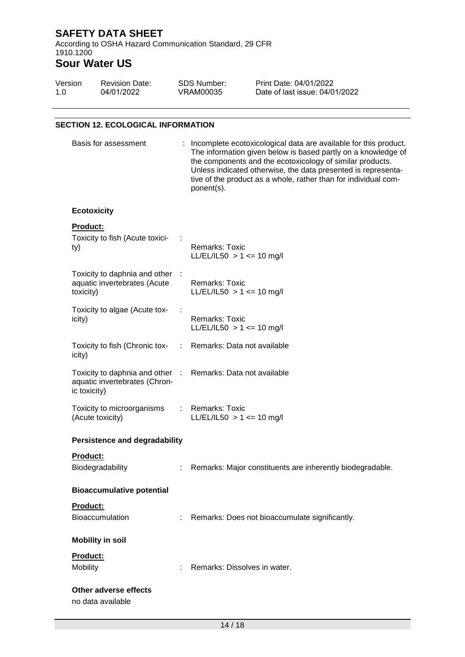According to OSHA Hazard Communication Standard, 29 CFR 1910.1200

# **Sour Water US**

| Version | <b>Revision Date:</b> | SDS Number: | Print Date: 04/01/2022         |
|---------|-----------------------|-------------|--------------------------------|
| 1.0     | 04/01/2022            | VRAM00035   | Date of last issue: 04/01/2022 |

#### **SECTION 12. ECOLOGICAL INFORMATION**

| Basis for assessment                                                             |    | : Incomplete ecotoxicological data are available for this product.<br>The information given below is based partly on a knowledge of<br>the components and the ecotoxicology of similar products.<br>Unless indicated otherwise, the data presented is representa-<br>tive of the product as a whole, rather than for individual com-<br>ponent(s). |
|----------------------------------------------------------------------------------|----|----------------------------------------------------------------------------------------------------------------------------------------------------------------------------------------------------------------------------------------------------------------------------------------------------------------------------------------------------|
| <b>Ecotoxicity</b>                                                               |    |                                                                                                                                                                                                                                                                                                                                                    |
| <b>Product:</b><br>Toxicity to fish (Acute toxici-<br>ty)                        |    | <b>Remarks: Toxic</b><br>LL/EL/IL50 $> 1$ <= 10 mg/l                                                                                                                                                                                                                                                                                               |
| Toxicity to daphnia and other :<br>aquatic invertebrates (Acute<br>toxicity)     |    | <b>Remarks: Toxic</b><br>LL/EL/IL50 $> 1 \le$ 10 mg/l                                                                                                                                                                                                                                                                                              |
| Toxicity to algae (Acute tox-<br>icity)                                          |    | <b>Remarks: Toxic</b><br>$LL/EL/IL50 > 1 \le 10$ mg/l                                                                                                                                                                                                                                                                                              |
| Toxicity to fish (Chronic tox-<br>icity)                                         |    | : Remarks: Data not available                                                                                                                                                                                                                                                                                                                      |
| Toxicity to daphnia and other :<br>aquatic invertebrates (Chron-<br>ic toxicity) |    | Remarks: Data not available                                                                                                                                                                                                                                                                                                                        |
| Toxicity to microorganisms<br>(Acute toxicity)                                   |    | <b>Remarks: Toxic</b><br>$LL/EL/IL50 > 1 \le 10$ mg/l                                                                                                                                                                                                                                                                                              |
| <b>Persistence and degradability</b>                                             |    |                                                                                                                                                                                                                                                                                                                                                    |
| Product:<br>Biodegradability                                                     |    | Remarks: Major constituents are inherently biodegradable.                                                                                                                                                                                                                                                                                          |
| <b>Bioaccumulative potential</b>                                                 |    |                                                                                                                                                                                                                                                                                                                                                    |
| Product:<br><b>Bioaccumulation</b>                                               | ÷. | Remarks: Does not bioaccumulate significantly.                                                                                                                                                                                                                                                                                                     |
| <b>Mobility in soil</b>                                                          |    |                                                                                                                                                                                                                                                                                                                                                    |
| Product:<br>Mobility                                                             |    | Remarks: Dissolves in water.                                                                                                                                                                                                                                                                                                                       |
| Other adverse effects<br>no data available                                       |    |                                                                                                                                                                                                                                                                                                                                                    |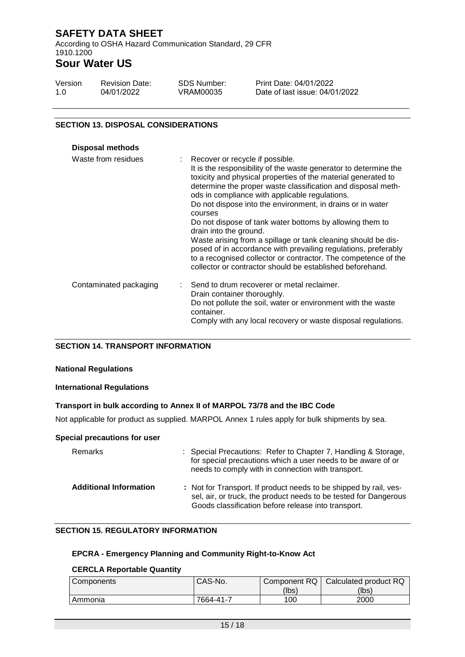According to OSHA Hazard Communication Standard, 29 CFR 1910.1200

# **Sour Water US**

| Version | <b>Revision Date:</b> | SDS Number: | Print Date: 04  |
|---------|-----------------------|-------------|-----------------|
| -1.0    | 04/01/2022            | VRAM00035   | Date of last is |

Print Data Data 2022 sue: 04/01/2022

#### **SECTION 13. DISPOSAL CONSIDERATIONS**

| <b>Disposal methods</b> |                                                                                                                                                                                                                                                                                                                                                                                                                                                         |
|-------------------------|---------------------------------------------------------------------------------------------------------------------------------------------------------------------------------------------------------------------------------------------------------------------------------------------------------------------------------------------------------------------------------------------------------------------------------------------------------|
| Waste from residues     | : Recover or recycle if possible.<br>It is the responsibility of the waste generator to determine the<br>toxicity and physical properties of the material generated to<br>determine the proper waste classification and disposal meth-<br>ods in compliance with applicable regulations.<br>Do not dispose into the environment, in drains or in water<br>courses<br>Do not dispose of tank water bottoms by allowing them to<br>drain into the ground. |
|                         | Waste arising from a spillage or tank cleaning should be dis-<br>posed of in accordance with prevailing regulations, preferably<br>to a recognised collector or contractor. The competence of the<br>collector or contractor should be established beforehand.                                                                                                                                                                                          |
| Contaminated packaging  | : Send to drum recoverer or metal reclaimer.<br>Drain container thoroughly.<br>Do not pollute the soil, water or environment with the waste<br>container.<br>Comply with any local recovery or waste disposal regulations.                                                                                                                                                                                                                              |

#### **SECTION 14. TRANSPORT INFORMATION**

#### **National Regulations**

#### **International Regulations**

#### **Transport in bulk according to Annex II of MARPOL 73/78 and the IBC Code**

Not applicable for product as supplied. MARPOL Annex 1 rules apply for bulk shipments by sea.

#### **Special precautions for user**

| Remarks                       | : Special Precautions: Refer to Chapter 7, Handling & Storage,<br>for special precautions which a user needs to be aware of or<br>needs to comply with in connection with transport.         |
|-------------------------------|----------------------------------------------------------------------------------------------------------------------------------------------------------------------------------------------|
| <b>Additional Information</b> | : Not for Transport. If product needs to be shipped by rail, ves-<br>sel, air, or truck, the product needs to be tested for Dangerous<br>Goods classification before release into transport. |

#### **SECTION 15. REGULATORY INFORMATION**

### **EPCRA - Emergency Planning and Community Right-to-Know Act**

#### **CERCLA Reportable Quantity**

| Components | CAS-No.   | Component RQ | Calculated product RQ |
|------------|-----------|--------------|-----------------------|
|            |           | (lbs)        | (lbs)                 |
| Ammonia    | 7664-41-7 | 100          | 2000                  |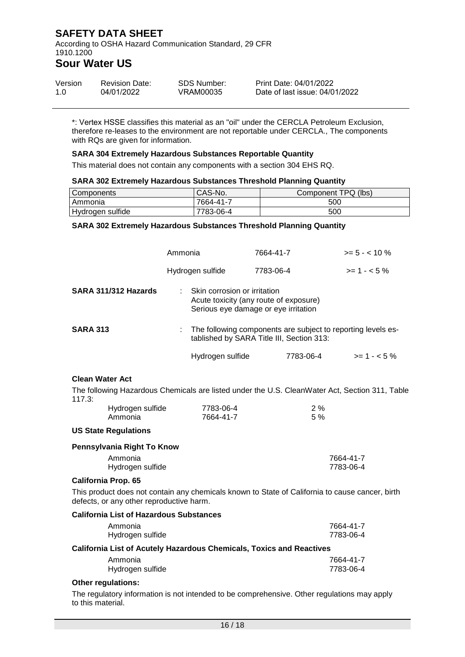According to OSHA Hazard Communication Standard, 29 CFR 1910.1200

### **Sour Water US**

| Version | <b>Revision Date:</b> | SDS Number: | Print Date: 04/01/2022         |
|---------|-----------------------|-------------|--------------------------------|
| 1.0     | 04/01/2022            | VRAM00035   | Date of last issue: 04/01/2022 |

\*: Vertex HSSE classifies this material as an "oil" under the CERCLA Petroleum Exclusion, therefore re-leases to the environment are not reportable under CERCLA., The components with RQs are given for information.

#### **SARA 304 Extremely Hazardous Substances Reportable Quantity**

This material does not contain any components with a section 304 EHS RQ.

#### **SARA 302 Extremely Hazardous Substances Threshold Planning Quantity**

| <b>Components</b> | CAS-No.   | Component TPQ (lbs) |
|-------------------|-----------|---------------------|
| <b>Ammonia</b>    | 7664-41-7 | 500                 |
| Hydrogen sulfide  | 7783-06-4 | 500                 |

#### **SARA 302 Extremely Hazardous Substances Threshold Planning Quantity**

|                        |                                                                                                           | Ammonia |                                                                                                                | 7664-41-7 |           | $>= 5 - < 10 \%$                                                                                |
|------------------------|-----------------------------------------------------------------------------------------------------------|---------|----------------------------------------------------------------------------------------------------------------|-----------|-----------|-------------------------------------------------------------------------------------------------|
|                        |                                                                                                           |         | Hydrogen sulfide                                                                                               | 7783-06-4 |           | $>= 1 - 5\%$                                                                                    |
|                        | SARA 311/312 Hazards                                                                                      |         | Skin corrosion or irritation<br>Acute toxicity (any route of exposure)<br>Serious eye damage or eye irritation |           |           |                                                                                                 |
| <b>SARA 313</b>        | The following components are subject to reporting levels es-<br>tablished by SARA Title III, Section 313: |         |                                                                                                                |           |           |                                                                                                 |
|                        |                                                                                                           |         | Hydrogen sulfide                                                                                               |           | 7783-06-4 | $>= 1 - 5\%$                                                                                    |
| <b>Clean Water Act</b> |                                                                                                           |         |                                                                                                                |           |           | The following Hazardous Chemicals are listed under the U.S. CleanWater Act, Section 311, Table  |
| 117.3:                 | Hydrogen sulfide<br>Ammonia                                                                               |         | 7783-06-4<br>7664-41-7                                                                                         |           | 2%<br>5 % |                                                                                                 |
|                        | <b>US State Regulations</b>                                                                               |         |                                                                                                                |           |           |                                                                                                 |
|                        | Pennsylvania Right To Know                                                                                |         |                                                                                                                |           |           |                                                                                                 |
|                        | Ammonia<br>Hydrogen sulfide                                                                               |         |                                                                                                                |           |           | 7664-41-7<br>7783-06-4                                                                          |
|                        | <b>California Prop. 65</b>                                                                                |         |                                                                                                                |           |           |                                                                                                 |
|                        | defects, or any other reproductive harm.                                                                  |         |                                                                                                                |           |           | This product does not contain any chemicals known to State of California to cause cancer, birth |
|                        | <b>California List of Hazardous Substances</b>                                                            |         |                                                                                                                |           |           |                                                                                                 |
|                        | Ammonia<br>Hydrogen sulfide                                                                               |         |                                                                                                                |           |           | 7664-41-7<br>7783-06-4                                                                          |
|                        | <b>California List of Acutely Hazardous Chemicals, Toxics and Reactives</b>                               |         |                                                                                                                |           |           |                                                                                                 |
|                        | Ammonia<br>Hydrogen sulfide                                                                               |         |                                                                                                                |           |           | 7664-41-7<br>7783-06-4                                                                          |

#### **Other regulations:**

The regulatory information is not intended to be comprehensive. Other regulations may apply to this material.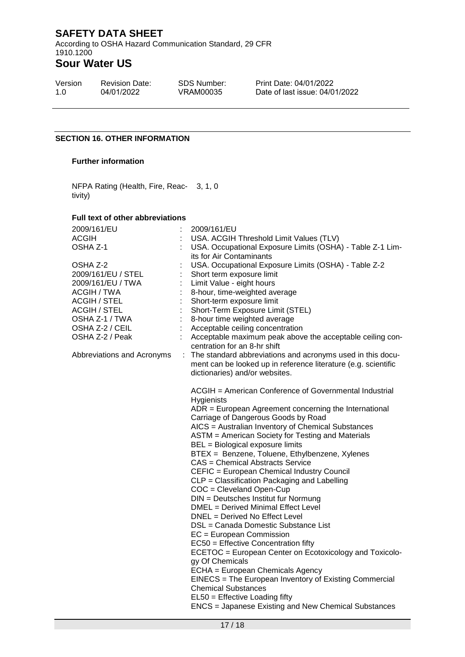According to OSHA Hazard Communication Standard, 29 CFR 1910.1200

# **Sour Water US**

| Version | <b>Revision Date:</b> |
|---------|-----------------------|
| 1.0     | 04/01/2022            |

SDS Number: VRAM00035

Print Date: 04/01/2022 Date of last issue: 04/01/2022

#### **SECTION 16. OTHER INFORMATION**

#### **Further information**

NFPA Rating (Health, Fire, Reac-3, 1, 0 tivity)

#### **Full text of other abbreviations**

| 2009/161/EU<br><b>ACGIH</b> | 2009/161/EU<br>USA. ACGIH Threshold Limit Values (TLV)                                                  |
|-----------------------------|---------------------------------------------------------------------------------------------------------|
| OSHA Z-1                    | USA. Occupational Exposure Limits (OSHA) - Table Z-1 Lim-                                               |
| OSHA Z-2                    | its for Air Contaminants<br>USA. Occupational Exposure Limits (OSHA) - Table Z-2                        |
| 2009/161/EU / STEL          | Short term exposure limit                                                                               |
| 2009/161/EU / TWA           | Limit Value - eight hours                                                                               |
| ACGIH / TWA                 | 8-hour, time-weighted average                                                                           |
| <b>ACGIH / STEL</b>         | Short-term exposure limit                                                                               |
| <b>ACGIH / STEL</b>         | Short-Term Exposure Limit (STEL)                                                                        |
| OSHA Z-1 / TWA              | 8-hour time weighted average                                                                            |
| OSHA Z-2 / CEIL             | Acceptable ceiling concentration                                                                        |
| OSHA Z-2 / Peak             | Acceptable maximum peak above the acceptable ceiling con-                                               |
|                             | centration for an 8-hr shift<br>: The standard abbreviations and acronyms used in this docu-            |
| Abbreviations and Acronyms  | ment can be looked up in reference literature (e.g. scientific                                          |
|                             | dictionaries) and/or websites.                                                                          |
|                             |                                                                                                         |
|                             | ACGIH = American Conference of Governmental Industrial                                                  |
|                             | Hygienists                                                                                              |
|                             | $ADR = European Agreement concerning the International$                                                 |
|                             | Carriage of Dangerous Goods by Road                                                                     |
|                             | AICS = Australian Inventory of Chemical Substances<br>ASTM = American Society for Testing and Materials |
|                             | BEL = Biological exposure limits                                                                        |
|                             | BTEX = Benzene, Toluene, Ethylbenzene, Xylenes                                                          |
|                             | CAS = Chemical Abstracts Service                                                                        |
|                             | CEFIC = European Chemical Industry Council                                                              |
|                             | CLP = Classification Packaging and Labelling                                                            |
|                             | COC = Cleveland Open-Cup                                                                                |
|                             | DIN = Deutsches Institut fur Normung                                                                    |
|                             | DMEL = Derived Minimal Effect Level                                                                     |
|                             | DNEL = Derived No Effect Level                                                                          |
|                             | DSL = Canada Domestic Substance List                                                                    |
|                             | EC = European Commission                                                                                |
|                             | EC50 = Effective Concentration fifty                                                                    |
|                             | ECETOC = European Center on Ecotoxicology and Toxicolo-<br>gy Of Chemicals                              |
|                             | ECHA = European Chemicals Agency                                                                        |
|                             | EINECS = The European Inventory of Existing Commercial                                                  |
|                             | <b>Chemical Substances</b>                                                                              |
|                             | EL50 = Effective Loading fifty                                                                          |
|                             | <b>ENCS</b> = Japanese Existing and New Chemical Substances                                             |